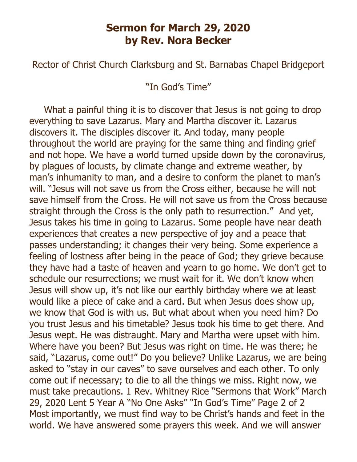## **Sermon for March 29, 2020 by Rev. Nora Becker**

Rector of Christ Church Clarksburg and St. Barnabas Chapel Bridgeport

"In God's Time"

What a painful thing it is to discover that Jesus is not going to drop everything to save Lazarus. Mary and Martha discover it. Lazarus discovers it. The disciples discover it. And today, many people throughout the world are praying for the same thing and finding grief and not hope. We have a world turned upside down by the coronavirus, by plagues of locusts, by climate change and extreme weather, by man's inhumanity to man, and a desire to conform the planet to man's will. "Jesus will not save us from the Cross either, because he will not save himself from the Cross. He will not save us from the Cross because straight through the Cross is the only path to resurrection." And yet, Jesus takes his time in going to Lazarus. Some people have near death experiences that creates a new perspective of joy and a peace that passes understanding; it changes their very being. Some experience a feeling of lostness after being in the peace of God; they grieve because they have had a taste of heaven and yearn to go home. We don't get to schedule our resurrections; we must wait for it. We don't know when Jesus will show up, it's not like our earthly birthday where we at least would like a piece of cake and a card. But when Jesus does show up, we know that God is with us. But what about when you need him? Do you trust Jesus and his timetable? Jesus took his time to get there. And Jesus wept. He was distraught. Mary and Martha were upset with him. Where have you been? But Jesus was right on time. He was there; he said, "Lazarus, come out!" Do you believe? Unlike Lazarus, we are being asked to "stay in our caves" to save ourselves and each other. To only come out if necessary; to die to all the things we miss. Right now, we must take precautions. 1 Rev. Whitney Rice "Sermons that Work" March 29, 2020 Lent 5 Year A "No One Asks" "In God's Time" Page 2 of 2 Most importantly, we must find way to be Christ's hands and feet in the world. We have answered some prayers this week. And we will answer